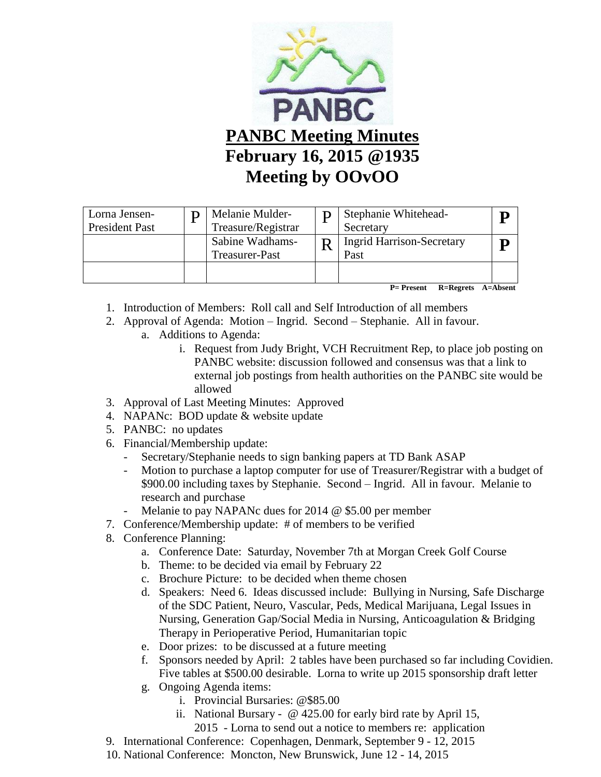

| Lorna Jensen-<br><b>President Past</b> | Melanie Mulder-<br>Treasure/Registrar | Stephanie Whitehead-<br>Secretary        |  |
|----------------------------------------|---------------------------------------|------------------------------------------|--|
|                                        | Sabine Wadhams-<br>Treasurer-Past     | <b>Ingrid Harrison-Secretary</b><br>Past |  |
|                                        |                                       |                                          |  |

 **P= Present R=Regrets A=Absent**

- 1. Introduction of Members: Roll call and Self Introduction of all members
- 2. Approval of Agenda: Motion Ingrid. Second Stephanie. All in favour.
	- a. Additions to Agenda:
		- i. Request from Judy Bright, VCH Recruitment Rep, to place job posting on PANBC website: discussion followed and consensus was that a link to external job postings from health authorities on the PANBC site would be allowed
- 3. Approval of Last Meeting Minutes: Approved
- 4. NAPANc: BOD update & website update
- 5. PANBC: no updates
- 6. Financial/Membership update:
	- Secretary/Stephanie needs to sign banking papers at TD Bank ASAP
	- Motion to purchase a laptop computer for use of Treasurer/Registrar with a budget of \$900.00 including taxes by Stephanie. Second – Ingrid. All in favour. Melanie to research and purchase
	- Melanie to pay NAPANc dues for 2014  $\omega$  \$5.00 per member
- 7. Conference/Membership update: # of members to be verified
- 8. Conference Planning:
	- a. Conference Date: Saturday, November 7th at Morgan Creek Golf Course
	- b. Theme: to be decided via email by February 22
	- c. Brochure Picture: to be decided when theme chosen
	- d. Speakers: Need 6. Ideas discussed include: Bullying in Nursing, Safe Discharge of the SDC Patient, Neuro, Vascular, Peds, Medical Marijuana, Legal Issues in Nursing, Generation Gap/Social Media in Nursing, Anticoagulation & Bridging Therapy in Perioperative Period, Humanitarian topic
	- e. Door prizes: to be discussed at a future meeting
	- f. Sponsors needed by April: 2 tables have been purchased so far including Covidien. Five tables at \$500.00 desirable. Lorna to write up 2015 sponsorship draft letter
	- g. Ongoing Agenda items:
		- i. Provincial Bursaries: @\$85.00
		- ii. National Bursary @ 425.00 for early bird rate by April 15,
			- 2015 Lorna to send out a notice to members re: application
- 9. International Conference: Copenhagen, Denmark, September 9 12, 2015
- 10. National Conference: Moncton, New Brunswick, June 12 14, 2015